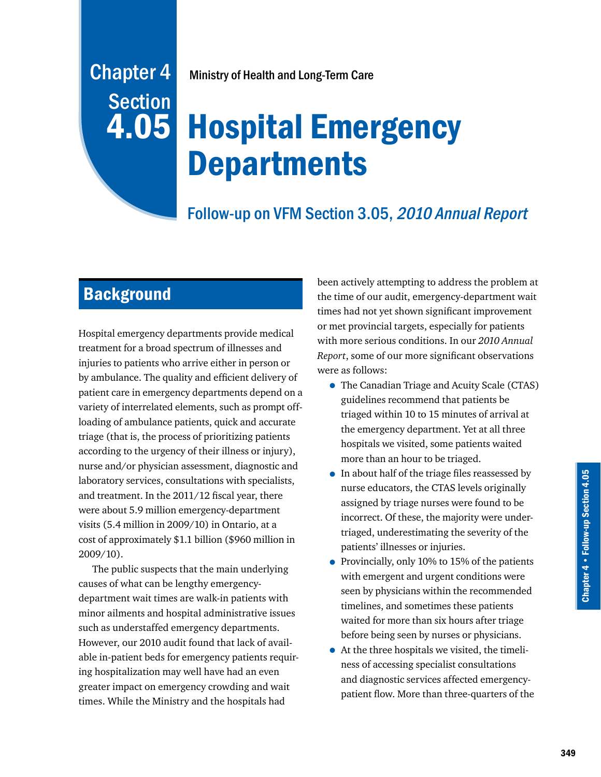# Chapter 4 Ministry of Health and Long-Term Care

# Hospital Emergency **Departments**

## Follow-up on VFM Section 3.05, 2010 Annual Report

# **Background**

**Section** 

4.05

Hospital emergency departments provide medical treatment for a broad spectrum of illnesses and injuries to patients who arrive either in person or by ambulance. The quality and efficient delivery of patient care in emergency departments depend on a variety of interrelated elements, such as prompt offloading of ambulance patients, quick and accurate triage (that is, the process of prioritizing patients according to the urgency of their illness or injury), nurse and/or physician assessment, diagnostic and laboratory services, consultations with specialists, and treatment. In the 2011/12 fiscal year, there were about 5.9 million emergency-department visits (5.4 million in 2009/10) in Ontario, at a cost of approximately \$1.1 billion (\$960 million in 2009/10).

The public suspects that the main underlying causes of what can be lengthy emergencydepartment wait times are walk-in patients with minor ailments and hospital administrative issues such as understaffed emergency departments. However, our 2010 audit found that lack of available in-patient beds for emergency patients requiring hospitalization may well have had an even greater impact on emergency crowding and wait times. While the Ministry and the hospitals had

been actively attempting to address the problem at the time of our audit, emergency-department wait times had not yet shown significant improvement or met provincial targets, especially for patients with more serious conditions. In our *2010 Annual Report*, some of our more significant observations were as follows:

- The Canadian Triage and Acuity Scale (CTAS) guidelines recommend that patients be triaged within 10 to 15 minutes of arrival at the emergency department. Yet at all three hospitals we visited, some patients waited more than an hour to be triaged.
- In about half of the triage files reassessed by nurse educators, the CTAS levels originally assigned by triage nurses were found to be incorrect. Of these, the majority were undertriaged, underestimating the severity of the patients' illnesses or injuries.
- Provincially, only 10% to 15% of the patients with emergent and urgent conditions were seen by physicians within the recommended timelines, and sometimes these patients waited for more than six hours after triage before being seen by nurses or physicians.
- At the three hospitals we visited, the timeliness of accessing specialist consultations and diagnostic services affected emergencypatient flow. More than three-quarters of the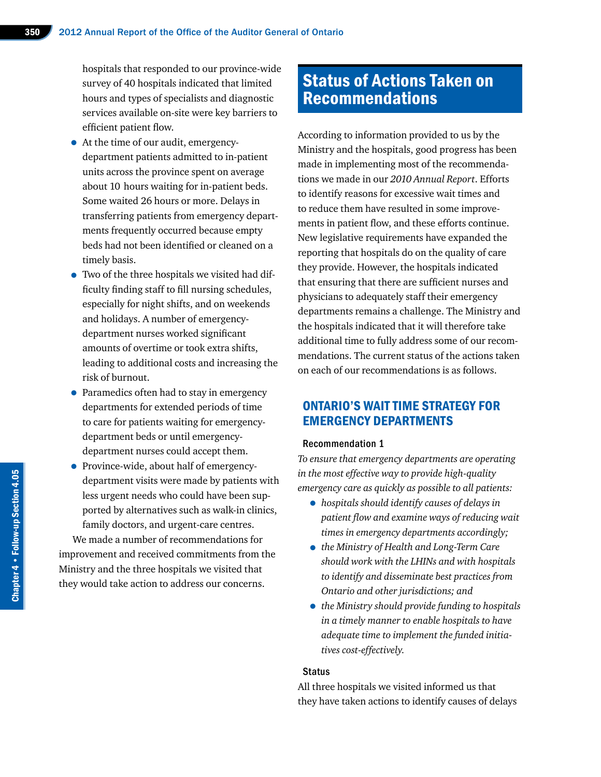hospitals that responded to our province-wide survey of 40 hospitals indicated that limited hours and types of specialists and diagnostic services available on-site were key barriers to efficient patient flow.

- At the time of our audit, emergencydepartment patients admitted to in-patient units across the province spent on average about 10 hours waiting for in-patient beds. Some waited 26 hours or more. Delays in transferring patients from emergency departments frequently occurred because empty beds had not been identified or cleaned on a timely basis.
- Two of the three hospitals we visited had difficulty finding staff to fill nursing schedules, especially for night shifts, and on weekends and holidays. A number of emergencydepartment nurses worked significant amounts of overtime or took extra shifts, leading to additional costs and increasing the risk of burnout.
- Paramedics often had to stay in emergency departments for extended periods of time to care for patients waiting for emergencydepartment beds or until emergencydepartment nurses could accept them.
- Province-wide, about half of emergencydepartment visits were made by patients with less urgent needs who could have been supported by alternatives such as walk-in clinics, family doctors, and urgent-care centres.

We made a number of recommendations for improvement and received commitments from the Ministry and the three hospitals we visited that they would take action to address our concerns.

# Status of Actions Taken on Recommendations

According to information provided to us by the Ministry and the hospitals, good progress has been made in implementing most of the recommendations we made in our *2010 Annual Report*. Efforts to identify reasons for excessive wait times and to reduce them have resulted in some improvements in patient flow, and these efforts continue. New legislative requirements have expanded the reporting that hospitals do on the quality of care they provide. However, the hospitals indicated that ensuring that there are sufficient nurses and physicians to adequately staff their emergency departments remains a challenge. The Ministry and the hospitals indicated that it will therefore take additional time to fully address some of our recommendations. The current status of the actions taken on each of our recommendations is as follows.

## ONTARIO'S WAIT TIME STRATEGY FOR EMERGENCY DEPARTMENTS

## Recommendation 1

*To ensure that emergency departments are operating in the most effective way to provide high-quality emergency care as quickly as possible to all patients:*

- *hospitals should identify causes of delays in patient flow and examine ways of reducing wait times in emergency departments accordingly;*
- *the Ministry of Health and Long-Term Care should work with the LHINs and with hospitals to identify and disseminate best practices from Ontario and other jurisdictions; and*
- *the Ministry should provide funding to hospitals in a timely manner to enable hospitals to have adequate time to implement the funded initiatives cost-effectively.*

#### **Status**

All three hospitals we visited informed us that they have taken actions to identify causes of delays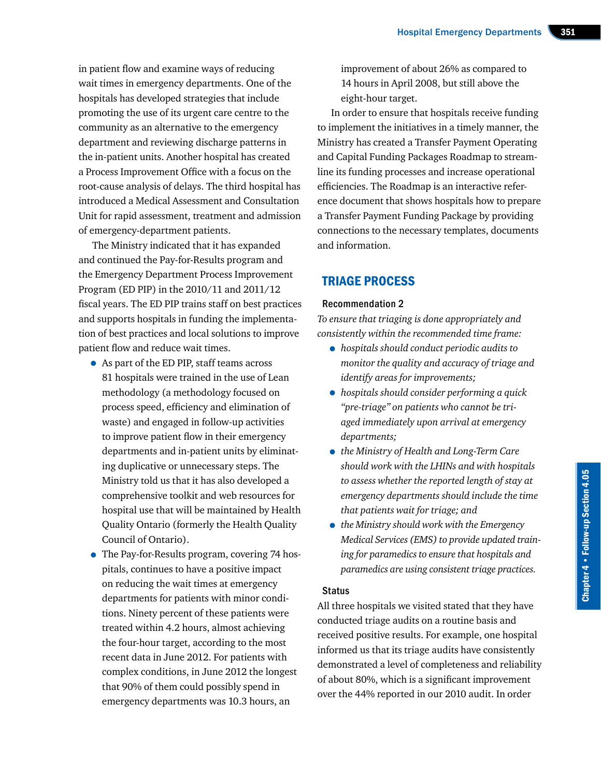in patient flow and examine ways of reducing wait times in emergency departments. One of the hospitals has developed strategies that include promoting the use of its urgent care centre to the community as an alternative to the emergency department and reviewing discharge patterns in the in-patient units. Another hospital has created a Process Improvement Office with a focus on the root-cause analysis of delays. The third hospital has introduced a Medical Assessment and Consultation Unit for rapid assessment, treatment and admission of emergency-department patients.

The Ministry indicated that it has expanded and continued the Pay-for-Results program and the Emergency Department Process Improvement Program (ED PIP) in the 2010/11 and 2011/12 fiscal years. The ED PIP trains staff on best practices and supports hospitals in funding the implementation of best practices and local solutions to improve patient flow and reduce wait times.

- As part of the ED PIP, staff teams across 81 hospitals were trained in the use of Lean methodology (a methodology focused on process speed, efficiency and elimination of waste) and engaged in follow-up activities to improve patient flow in their emergency departments and in-patient units by eliminating duplicative or unnecessary steps. The Ministry told us that it has also developed a comprehensive toolkit and web resources for hospital use that will be maintained by Health Quality Ontario (formerly the Health Quality Council of Ontario).
- The Pay-for-Results program, covering 74 hospitals, continues to have a positive impact on reducing the wait times at emergency departments for patients with minor conditions. Ninety percent of these patients were treated within 4.2 hours, almost achieving the four-hour target, according to the most recent data in June 2012. For patients with complex conditions, in June 2012 the longest that 90% of them could possibly spend in emergency departments was 10.3 hours, an

improvement of about 26% as compared to 14 hours in April 2008, but still above the eight-hour target.

In order to ensure that hospitals receive funding to implement the initiatives in a timely manner, the Ministry has created a Transfer Payment Operating and Capital Funding Packages Roadmap to streamline its funding processes and increase operational efficiencies. The Roadmap is an interactive reference document that shows hospitals how to prepare a Transfer Payment Funding Package by providing connections to the necessary templates, documents and information.

## TRIAGE PROCESS

## Recommendation 2

*To ensure that triaging is done appropriately and consistently within the recommended time frame:*

- *hospitals should conduct periodic audits to monitor the quality and accuracy of triage and identify areas for improvements;*
- *hospitals should consider performing a quick "pre-triage" on patients who cannot be triaged immediately upon arrival at emergency departments;*
- *the Ministry of Health and Long-Term Care should work with the LHINs and with hospitals to assess whether the reported length of stay at emergency departments should include the time that patients wait for triage; and*
- *the Ministry should work with the Emergency Medical Services (EMS) to provide updated training for paramedics to ensure that hospitals and paramedics are using consistent triage practices.*

## **Status**

All three hospitals we visited stated that they have conducted triage audits on a routine basis and received positive results. For example, one hospital informed us that its triage audits have consistently demonstrated a level of completeness and reliability of about 80%, which is a significant improvement over the 44% reported in our 2010 audit. In order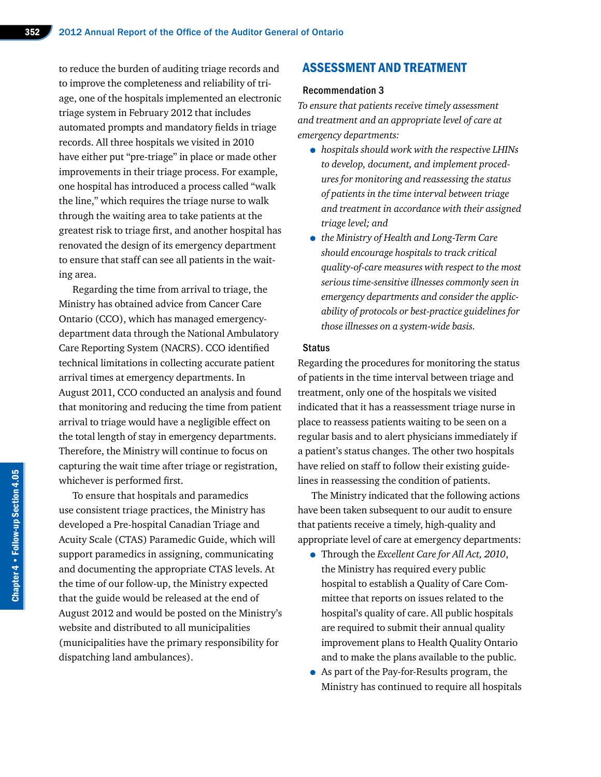to reduce the burden of auditing triage records and to improve the completeness and reliability of triage, one of the hospitals implemented an electronic triage system in February 2012 that includes automated prompts and mandatory fields in triage records. All three hospitals we visited in 2010 have either put "pre-triage" in place or made other improvements in their triage process. For example, one hospital has introduced a process called "walk the line," which requires the triage nurse to walk through the waiting area to take patients at the greatest risk to triage first, and another hospital has renovated the design of its emergency department to ensure that staff can see all patients in the waiting area.

Regarding the time from arrival to triage, the Ministry has obtained advice from Cancer Care Ontario (CCO), which has managed emergencydepartment data through the National Ambulatory Care Reporting System (NACRS). CCO identified technical limitations in collecting accurate patient arrival times at emergency departments. In August 2011, CCO conducted an analysis and found that monitoring and reducing the time from patient arrival to triage would have a negligible effect on the total length of stay in emergency departments. Therefore, the Ministry will continue to focus on capturing the wait time after triage or registration, whichever is performed first.

To ensure that hospitals and paramedics use consistent triage practices, the Ministry has developed a Pre-hospital Canadian Triage and Acuity Scale (CTAS) Paramedic Guide, which will support paramedics in assigning, communicating and documenting the appropriate CTAS levels. At the time of our follow-up, the Ministry expected that the guide would be released at the end of August 2012 and would be posted on the Ministry's website and distributed to all municipalities (municipalities have the primary responsibility for dispatching land ambulances).

## ASSESSMENT AND TREATMENT

#### Recommendation 3

*To ensure that patients receive timely assessment and treatment and an appropriate level of care at emergency departments:*

- *hospitals should work with the respective LHINs to develop, document, and implement procedures for monitoring and reassessing the status of patients in the time interval between triage and treatment in accordance with their assigned triage level; and*
- *the Ministry of Health and Long-Term Care should encourage hospitals to track critical quality-of-care measures with respect to the most serious time-sensitive illnesses commonly seen in emergency departments and consider the applicability of protocols or best-practice guidelines for those illnesses on a system-wide basis.*

#### **Status**

Regarding the procedures for monitoring the status of patients in the time interval between triage and treatment, only one of the hospitals we visited indicated that it has a reassessment triage nurse in place to reassess patients waiting to be seen on a regular basis and to alert physicians immediately if a patient's status changes. The other two hospitals have relied on staff to follow their existing guidelines in reassessing the condition of patients.

The Ministry indicated that the following actions have been taken subsequent to our audit to ensure that patients receive a timely, high-quality and appropriate level of care at emergency departments:

- Through the *Excellent Care for All Act, 2010*, the Ministry has required every public hospital to establish a Quality of Care Committee that reports on issues related to the hospital's quality of care. All public hospitals are required to submit their annual quality improvement plans to Health Quality Ontario and to make the plans available to the public.
- As part of the Pay-for-Results program, the Ministry has continued to require all hospitals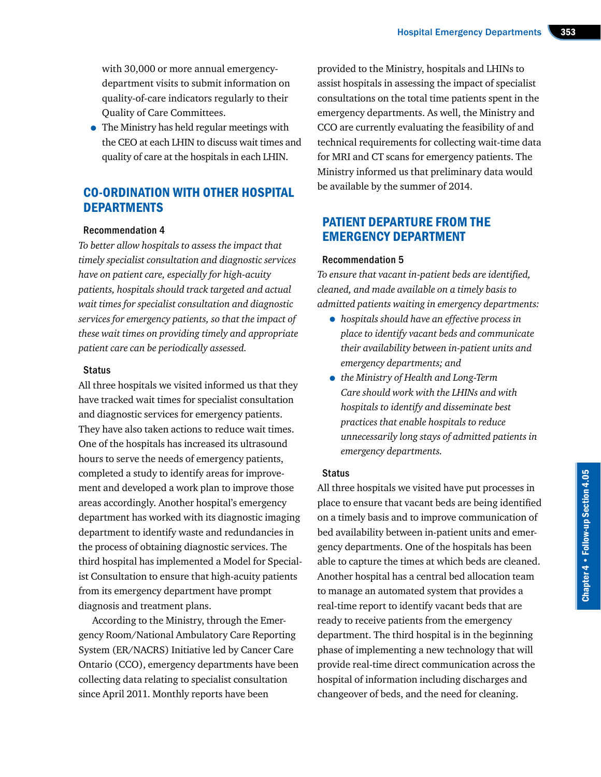with 30,000 or more annual emergencydepartment visits to submit information on quality-of-care indicators regularly to their Quality of Care Committees.

• The Ministry has held regular meetings with the CEO at each LHIN to discuss wait times and quality of care at the hospitals in each LHIN.

## CO-ORDINATION WITH OTHER HOSPITAL **DEPARTMENTS**

## Recommendation 4

*To better allow hospitals to assess the impact that timely specialist consultation and diagnostic services have on patient care, especially for high-acuity patients, hospitals should track targeted and actual wait times for specialist consultation and diagnostic services for emergency patients, so that the impact of these wait times on providing timely and appropriate patient care can be periodically assessed.*

#### Status

All three hospitals we visited informed us that they have tracked wait times for specialist consultation and diagnostic services for emergency patients. They have also taken actions to reduce wait times. One of the hospitals has increased its ultrasound hours to serve the needs of emergency patients, completed a study to identify areas for improvement and developed a work plan to improve those areas accordingly. Another hospital's emergency department has worked with its diagnostic imaging department to identify waste and redundancies in the process of obtaining diagnostic services. The third hospital has implemented a Model for Specialist Consultation to ensure that high-acuity patients from its emergency department have prompt diagnosis and treatment plans.

According to the Ministry, through the Emergency Room/National Ambulatory Care Reporting System (ER/NACRS) Initiative led by Cancer Care Ontario (CCO), emergency departments have been collecting data relating to specialist consultation since April 2011. Monthly reports have been

provided to the Ministry, hospitals and LHINs to assist hospitals in assessing the impact of specialist consultations on the total time patients spent in the emergency departments. As well, the Ministry and CCO are currently evaluating the feasibility of and technical requirements for collecting wait-time data for MRI and CT scans for emergency patients. The Ministry informed us that preliminary data would be available by the summer of 2014.

## PATIENT DEPARTURE FROM THE EMERGENCY DEPARTMENT

## Recommendation 5

*To ensure that vacant in-patient beds are identified, cleaned, and made available on a timely basis to admitted patients waiting in emergency departments:*

- *hospitals should have an effective process in place to identify vacant beds and communicate their availability between in-patient units and emergency departments; and*
- *the Ministry of Health and Long-Term Care should work with the LHINs and with hospitals to identify and disseminate best practices that enable hospitals to reduce unnecessarily long stays of admitted patients in emergency departments.*

#### Status

All three hospitals we visited have put processes in place to ensure that vacant beds are being identified on a timely basis and to improve communication of bed availability between in-patient units and emergency departments. One of the hospitals has been able to capture the times at which beds are cleaned. Another hospital has a central bed allocation team to manage an automated system that provides a real-time report to identify vacant beds that are ready to receive patients from the emergency department. The third hospital is in the beginning phase of implementing a new technology that will provide real-time direct communication across the hospital of information including discharges and changeover of beds, and the need for cleaning.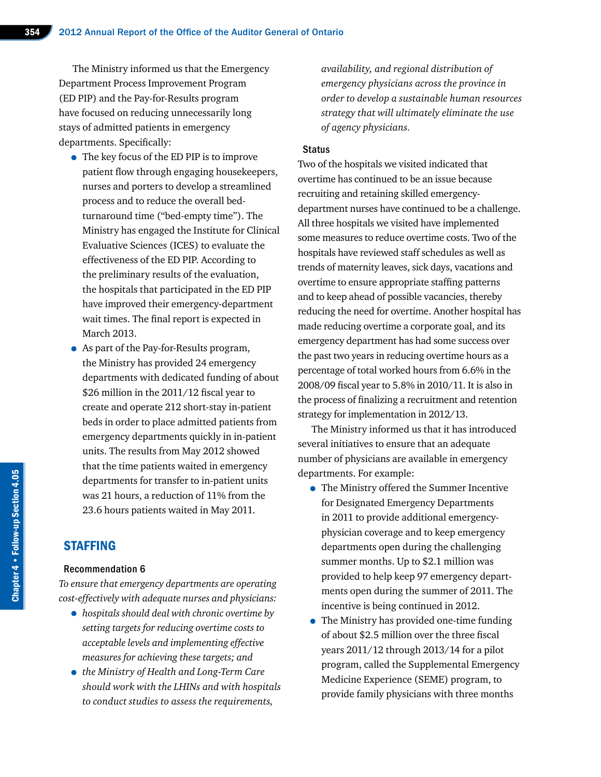The Ministry informed us that the Emergency Department Process Improvement Program (ED PIP) and the Pay-for-Results program have focused on reducing unnecessarily long stays of admitted patients in emergency departments. Specifically:

- The key focus of the ED PIP is to improve patient flow through engaging housekeepers, nurses and porters to develop a streamlined process and to reduce the overall bedturnaround time ("bed-empty time"). The Ministry has engaged the Institute for Clinical Evaluative Sciences (ICES) to evaluate the effectiveness of the ED PIP. According to the preliminary results of the evaluation, the hospitals that participated in the ED PIP have improved their emergency-department wait times. The final report is expected in March 2013.
- As part of the Pay-for-Results program, the Ministry has provided 24 emergency departments with dedicated funding of about \$26 million in the 2011/12 fiscal year to create and operate 212 short-stay in-patient beds in order to place admitted patients from emergency departments quickly in in-patient units. The results from May 2012 showed that the time patients waited in emergency departments for transfer to in-patient units was 21 hours, a reduction of 11% from the 23.6 hours patients waited in May 2011.

## STAFFING

#### Recommendation 6

*To ensure that emergency departments are operating cost-effectively with adequate nurses and physicians:* 

- *hospitals should deal with chronic overtime by setting targets for reducing overtime costs to acceptable levels and implementing effective measures for achieving these targets; and*
- *the Ministry of Health and Long-Term Care should work with the LHINs and with hospitals to conduct studies to assess the requirements,*

*availability, and regional distribution of emergency physicians across the province in order to develop a sustainable human resources strategy that will ultimately eliminate the use of agency physicians.*

#### **Status**

Two of the hospitals we visited indicated that overtime has continued to be an issue because recruiting and retaining skilled emergencydepartment nurses have continued to be a challenge. All three hospitals we visited have implemented some measures to reduce overtime costs. Two of the hospitals have reviewed staff schedules as well as trends of maternity leaves, sick days, vacations and overtime to ensure appropriate staffing patterns and to keep ahead of possible vacancies, thereby reducing the need for overtime. Another hospital has made reducing overtime a corporate goal, and its emergency department has had some success over the past two years in reducing overtime hours as a percentage of total worked hours from 6.6% in the 2008/09 fiscal year to 5.8% in 2010/11. It is also in the process of finalizing a recruitment and retention strategy for implementation in 2012/13.

The Ministry informed us that it has introduced several initiatives to ensure that an adequate number of physicians are available in emergency departments. For example:

- The Ministry offered the Summer Incentive for Designated Emergency Departments in 2011 to provide additional emergencyphysician coverage and to keep emergency departments open during the challenging summer months. Up to \$2.1 million was provided to help keep 97 emergency departments open during the summer of 2011. The incentive is being continued in 2012.
- The Ministry has provided one-time funding of about \$2.5 million over the three fiscal years 2011/12 through 2013/14 for a pilot program, called the Supplemental Emergency Medicine Experience (SEME) program, to provide family physicians with three months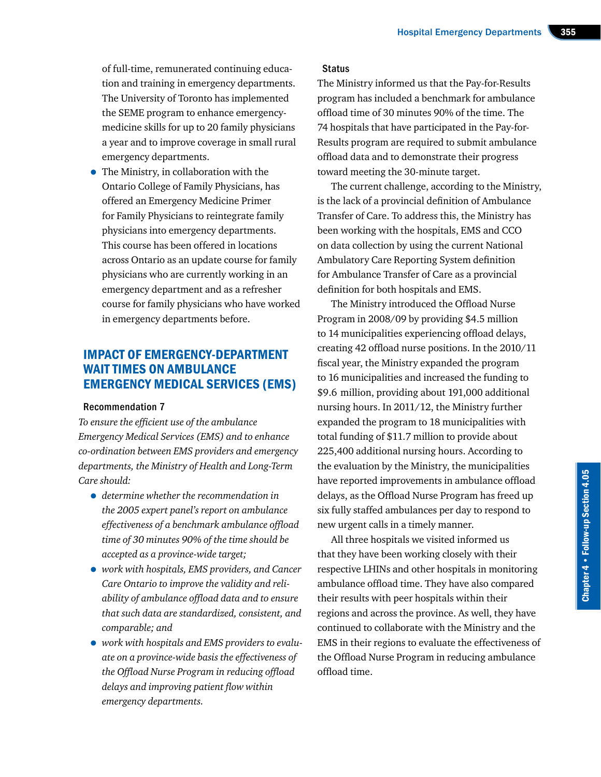of full-time, remunerated continuing education and training in emergency departments. The University of Toronto has implemented the SEME program to enhance emergencymedicine skills for up to 20 family physicians a year and to improve coverage in small rural emergency departments.

• The Ministry, in collaboration with the Ontario College of Family Physicians, has offered an Emergency Medicine Primer for Family Physicians to reintegrate family physicians into emergency departments. This course has been offered in locations across Ontario as an update course for family physicians who are currently working in an emergency department and as a refresher course for family physicians who have worked in emergency departments before.

## IMPACT OF EMERGENCY-DEPARTMENT WAIT TIMES ON AMBULANCE EMERGENCY MEDICAL SERVICES (EMS)

## Recommendation 7

*To ensure the efficient use of the ambulance Emergency Medical Services (EMS) and to enhance co-ordination between EMS providers and emergency departments, the Ministry of Health and Long-Term Care should:*

- *determine whether the recommendation in the 2005 expert panel's report on ambulance effectiveness of a benchmark ambulance offload time of 30 minutes 90% of the time should be accepted as a province-wide target;*
- *work with hospitals, EMS providers, and Cancer Care Ontario to improve the validity and reliability of ambulance offload data and to ensure that such data are standardized, consistent, and comparable; and*
- *work with hospitals and EMS providers to evaluate on a province-wide basis the effectiveness of the Offload Nurse Program in reducing offload delays and improving patient flow within emergency departments.*

## **Status**

The Ministry informed us that the Pay-for-Results program has included a benchmark for ambulance offload time of 30 minutes 90% of the time. The 74 hospitals that have participated in the Pay-for-Results program are required to submit ambulance offload data and to demonstrate their progress toward meeting the 30-minute target.

The current challenge, according to the Ministry, is the lack of a provincial definition of Ambulance Transfer of Care. To address this, the Ministry has been working with the hospitals, EMS and CCO on data collection by using the current National Ambulatory Care Reporting System definition for Ambulance Transfer of Care as a provincial definition for both hospitals and EMS.

The Ministry introduced the Offload Nurse Program in 2008/09 by providing \$4.5 million to 14 municipalities experiencing offload delays, creating 42 offload nurse positions. In the 2010/11 fiscal year, the Ministry expanded the program to 16 municipalities and increased the funding to \$9.6 million, providing about 191,000 additional nursing hours. In 2011/12, the Ministry further expanded the program to 18 municipalities with total funding of \$11.7 million to provide about 225,400 additional nursing hours. According to the evaluation by the Ministry, the municipalities have reported improvements in ambulance offload delays, as the Offload Nurse Program has freed up six fully staffed ambulances per day to respond to new urgent calls in a timely manner.

All three hospitals we visited informed us that they have been working closely with their respective LHINs and other hospitals in monitoring ambulance offload time. They have also compared their results with peer hospitals within their regions and across the province. As well, they have continued to collaborate with the Ministry and the EMS in their regions to evaluate the effectiveness of the Offload Nurse Program in reducing ambulance offload time.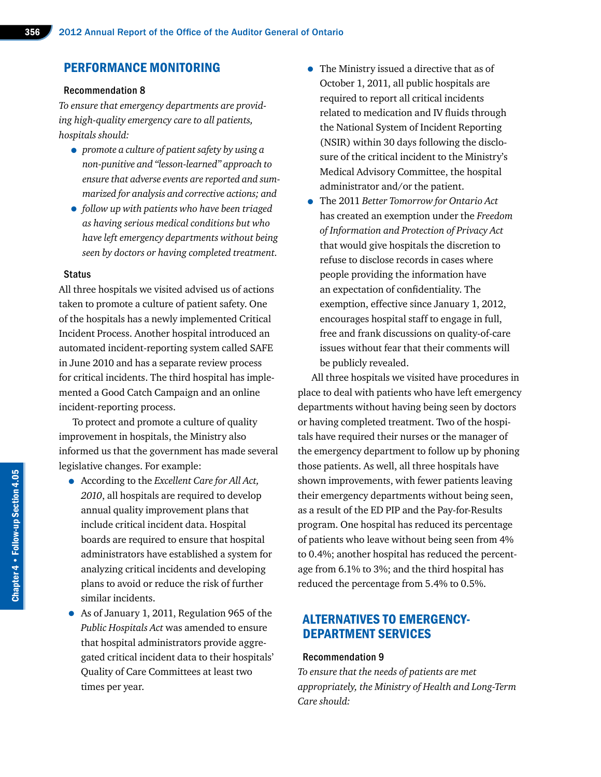## PERFORMANCE MONITORING

#### Recommendation 8

*To ensure that emergency departments are providing high-quality emergency care to all patients, hospitals should:*

- *promote a culture of patient safety by using a non-punitive and "lesson-learned" approach to ensure that adverse events are reported and summarized for analysis and corrective actions; and*
- *follow up with patients who have been triaged as having serious medical conditions but who have left emergency departments without being seen by doctors or having completed treatment.*

#### **Status**

All three hospitals we visited advised us of actions taken to promote a culture of patient safety. One of the hospitals has a newly implemented Critical Incident Process. Another hospital introduced an automated incident-reporting system called SAFE in June 2010 and has a separate review process for critical incidents. The third hospital has implemented a Good Catch Campaign and an online incident-reporting process.

To protect and promote a culture of quality improvement in hospitals, the Ministry also informed us that the government has made several legislative changes. For example:

- According to the *Excellent Care for All Act, 2010*, all hospitals are required to develop annual quality improvement plans that include critical incident data. Hospital boards are required to ensure that hospital administrators have established a system for analyzing critical incidents and developing plans to avoid or reduce the risk of further similar incidents.
- As of January 1, 2011, Regulation 965 of the *Public Hospitals Act* was amended to ensure that hospital administrators provide aggregated critical incident data to their hospitals' Quality of Care Committees at least two times per year.
- The Ministry issued a directive that as of October 1, 2011, all public hospitals are required to report all critical incidents related to medication and IV fluids through the National System of Incident Reporting (NSIR) within 30 days following the disclosure of the critical incident to the Ministry's Medical Advisory Committee, the hospital administrator and/or the patient.
- The 2011 *Better Tomorrow for Ontario Act*  has created an exemption under the *Freedom of Information and Protection of Privacy Act*  that would give hospitals the discretion to refuse to disclose records in cases where people providing the information have an expectation of confidentiality. The exemption, effective since January 1, 2012, encourages hospital staff to engage in full, free and frank discussions on quality-of-care issues without fear that their comments will be publicly revealed.

All three hospitals we visited have procedures in place to deal with patients who have left emergency departments without having being seen by doctors or having completed treatment. Two of the hospitals have required their nurses or the manager of the emergency department to follow up by phoning those patients. As well, all three hospitals have shown improvements, with fewer patients leaving their emergency departments without being seen, as a result of the ED PIP and the Pay-for-Results program. One hospital has reduced its percentage of patients who leave without being seen from 4% to 0.4%; another hospital has reduced the percentage from 6.1% to 3%; and the third hospital has reduced the percentage from 5.4% to 0.5%.

## ALTERNATIVES TO EMERGENCY-DEPARTMENT SERVICES

#### Recommendation 9

*To ensure that the needs of patients are met appropriately, the Ministry of Health and Long-Term Care should:*